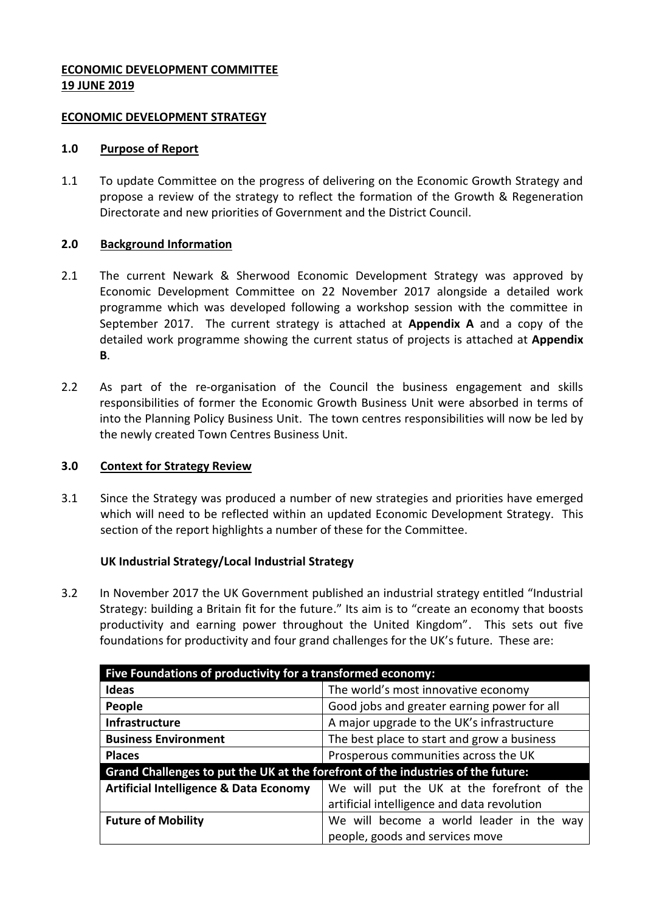## **ECONOMIC DEVELOPMENT COMMITTEE 19 JUNE 2019**

#### **ECONOMIC DEVELOPMENT STRATEGY**

#### **1.0 Purpose of Report**

1.1 To update Committee on the progress of delivering on the Economic Growth Strategy and propose a review of the strategy to reflect the formation of the Growth & Regeneration Directorate and new priorities of Government and the District Council.

# **2.0 Background Information**

- 2.1 The current Newark & Sherwood Economic Development Strategy was approved by Economic Development Committee on 22 November 2017 alongside a detailed work programme which was developed following a workshop session with the committee in September 2017. The current strategy is attached at **Appendix A** and a copy of the detailed work programme showing the current status of projects is attached at **Appendix B**.
- 2.2 As part of the re-organisation of the Council the business engagement and skills responsibilities of former the Economic Growth Business Unit were absorbed in terms of into the Planning Policy Business Unit. The town centres responsibilities will now be led by the newly created Town Centres Business Unit.

# **3.0 Context for Strategy Review**

3.1 Since the Strategy was produced a number of new strategies and priorities have emerged which will need to be reflected within an updated Economic Development Strategy. This section of the report highlights a number of these for the Committee.

# **UK Industrial Strategy/Local Industrial Strategy**

3.2 In November 2017 the UK Government published an industrial strategy entitled "Industrial Strategy: building a Britain fit for the future." Its aim is to "create an economy that boosts productivity and earning power throughout the United Kingdom". This sets out five foundations for productivity and four grand challenges for the UK's future. These are:

| Five Foundations of productivity for a transformed economy:                      |                                             |
|----------------------------------------------------------------------------------|---------------------------------------------|
| <b>Ideas</b>                                                                     | The world's most innovative economy         |
| People                                                                           | Good jobs and greater earning power for all |
| Infrastructure                                                                   | A major upgrade to the UK's infrastructure  |
| <b>Business Environment</b>                                                      | The best place to start and grow a business |
| <b>Places</b>                                                                    | Prosperous communities across the UK        |
| Grand Challenges to put the UK at the forefront of the industries of the future: |                                             |
| <b>Artificial Intelligence &amp; Data Economy</b>                                | We will put the UK at the forefront of the  |
|                                                                                  | artificial intelligence and data revolution |
| <b>Future of Mobility</b>                                                        | We will become a world leader in the way    |
|                                                                                  | people, goods and services move             |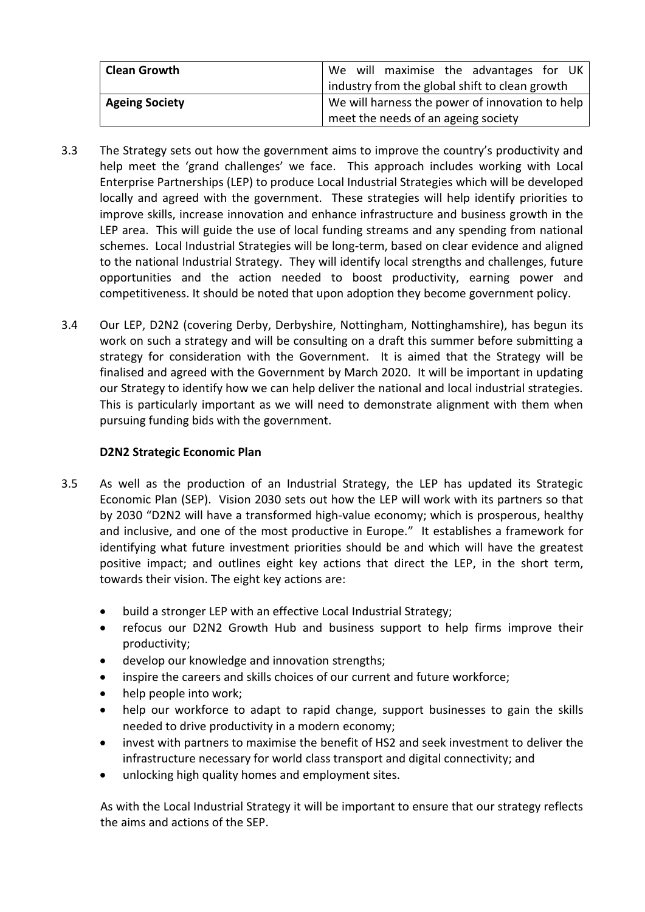| <b>Clean Growth</b>   | We will maximise the advantages for UK          |
|-----------------------|-------------------------------------------------|
|                       | industry from the global shift to clean growth  |
| <b>Ageing Society</b> | We will harness the power of innovation to help |
|                       | meet the needs of an ageing society             |

- 3.3 The Strategy sets out how the government aims to improve the country's productivity and help meet the 'grand challenges' we face. This approach includes working with Local Enterprise Partnerships (LEP) to produce Local Industrial Strategies which will be developed locally and agreed with the government. These strategies will help identify priorities to improve skills, increase innovation and enhance infrastructure and business growth in the LEP area. This will guide the use of local funding streams and any spending from national schemes. Local Industrial Strategies will be long-term, based on clear evidence and aligned to the national Industrial Strategy. They will identify local strengths and challenges, future opportunities and the action needed to boost productivity, earning power and competitiveness. It should be noted that upon adoption they become government policy.
- 3.4 Our LEP, D2N2 (covering Derby, Derbyshire, Nottingham, Nottinghamshire), has begun its work on such a strategy and will be consulting on a draft this summer before submitting a strategy for consideration with the Government. It is aimed that the Strategy will be finalised and agreed with the Government by March 2020. It will be important in updating our Strategy to identify how we can help deliver the national and local industrial strategies. This is particularly important as we will need to demonstrate alignment with them when pursuing funding bids with the government.

# **D2N2 Strategic Economic Plan**

- 3.5 As well as the production of an Industrial Strategy, the LEP has updated its Strategic Economic Plan (SEP). Vision 2030 sets out how the LEP will work with its partners so that by 2030 "D2N2 will have a transformed high-value economy; which is prosperous, healthy and inclusive, and one of the most productive in Europe." It establishes a framework for identifying what future investment priorities should be and which will have the greatest positive impact; and outlines eight key actions that direct the LEP, in the short term, towards their vision. The eight key actions are:
	- build a stronger LEP with an effective Local Industrial Strategy;
	- refocus our D2N2 Growth Hub and business support to help firms improve their productivity;
	- develop our knowledge and innovation strengths;
	- inspire the careers and skills choices of our current and future workforce;
	- help people into work;
	- help our workforce to adapt to rapid change, support businesses to gain the skills needed to drive productivity in a modern economy;
	- invest with partners to maximise the benefit of HS2 and seek investment to deliver the infrastructure necessary for world class transport and digital connectivity; and
	- unlocking high quality homes and employment sites.

As with the Local Industrial Strategy it will be important to ensure that our strategy reflects the aims and actions of the SEP.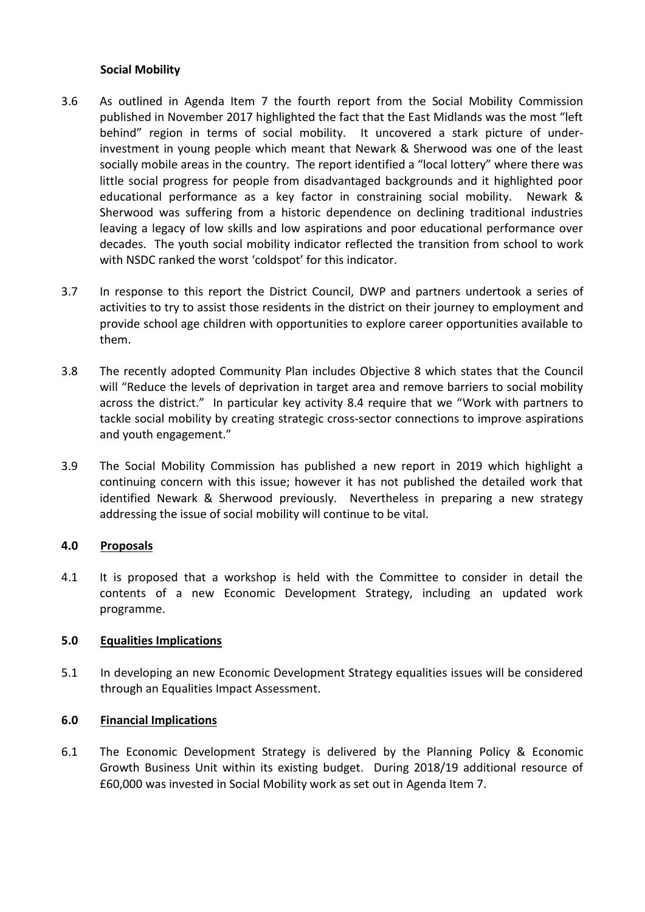### **Social Mobility**

- 3.6 As outlined in Agenda Item 7 the fourth report from the Social Mobility Commission published in November 2017 highlighted the fact that the East Midlands was the most "left behind" region in terms of social mobility. It uncovered a stark picture of underinvestment in young people which meant that Newark & Sherwood was one of the least socially mobile areas in the country. The report identified a "local lottery" where there was little social progress for people from disadvantaged backgrounds and it highlighted poor educational performance as a key factor in constraining social mobility. Newark & Sherwood was suffering from a historic dependence on declining traditional industries leaving a legacy of low skills and low aspirations and poor educational performance over decades. The youth social mobility indicator reflected the transition from school to work with NSDC ranked the worst 'coldspot' for this indicator.
- 3.7 In response to this report the District Council, DWP and partners undertook a series of activities to try to assist those residents in the district on their journey to employment and provide school age children with opportunities to explore career opportunities available to them.
- 3.8 The recently adopted Community Plan includes Objective 8 which states that the Council will "Reduce the levels of deprivation in target area and remove barriers to social mobility across the district." In particular key activity 8.4 require that we "Work with partners to tackle social mobility by creating strategic cross-sector connections to improve aspirations and youth engagement."
- 3.9 The Social Mobility Commission has published a new report in 2019 which highlight a continuing concern with this issue; however it has not published the detailed work that identified Newark & Sherwood previously. Nevertheless in preparing a new strategy addressing the issue of social mobility will continue to be vital.

#### **4.0 Proposals**

4.1 It is proposed that a workshop is held with the Committee to consider in detail the contents of a new Economic Development Strategy, including an updated work programme.

#### **5.0 Equalities Implications**

5.1 In developing an new Economic Development Strategy equalities issues will be considered through an Equalities Impact Assessment.

#### **6.0 Financial Implications**

6.1 The Economic Development Strategy is delivered by the Planning Policy & Economic Growth Business Unit within its existing budget. During 2018/19 additional resource of £60,000 was invested in Social Mobility work as set out in Agenda Item 7.